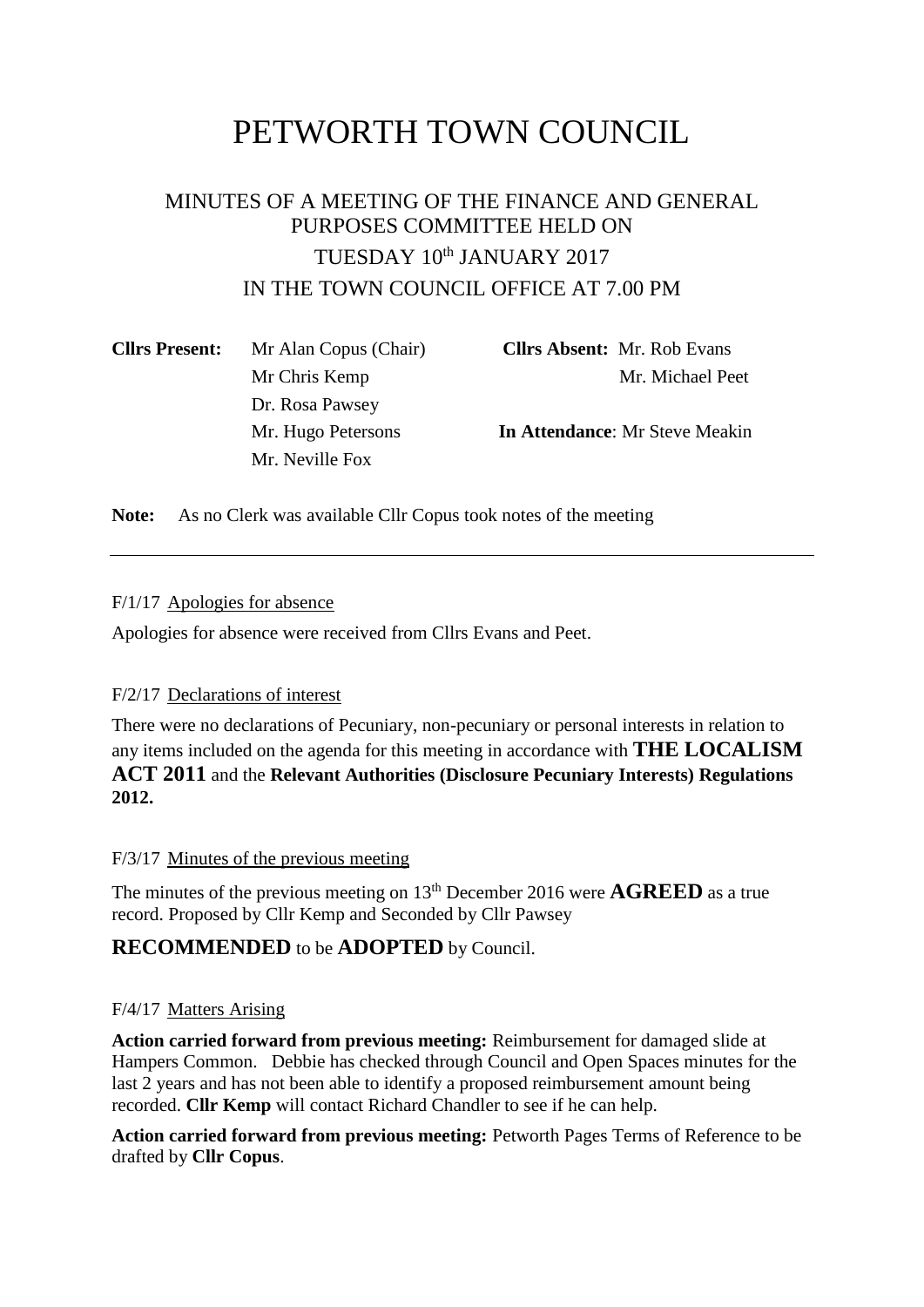# PETWORTH TOWN COUNCIL

# MINUTES OF A MEETING OF THE FINANCE AND GENERAL PURPOSES COMMITTEE HELD ON TUESDAY 10<sup>th</sup> JANUARY 2017 IN THE TOWN COUNCIL OFFICE AT 7.00 PM

| <b>Cllrs Present:</b> | Mr Alan Copus (Chair) | <b>Clirs Absent:</b> Mr. Rob Evans    |
|-----------------------|-----------------------|---------------------------------------|
|                       | Mr Chris Kemp         | Mr. Michael Peet                      |
|                       | Dr. Rosa Pawsey       |                                       |
|                       | Mr. Hugo Petersons    | <b>In Attendance:</b> Mr Steve Meakin |
|                       | Mr. Neville Fox       |                                       |
|                       |                       |                                       |

**Note:** As no Clerk was available Cllr Copus took notes of the meeting

#### F/1/17 Apologies for absence

Apologies for absence were received from Cllrs Evans and Peet.

### F/2/17 Declarations of interest

There were no declarations of Pecuniary, non-pecuniary or personal interests in relation to any items included on the agenda for this meeting in accordance with **THE LOCALISM ACT 2011** and the **Relevant Authorities (Disclosure Pecuniary Interests) Regulations 2012.**

#### F/3/17 Minutes of the previous meeting

The minutes of the previous meeting on 13th December 2016 were **AGREED** as a true record. Proposed by Cllr Kemp and Seconded by Cllr Pawsey

## **RECOMMENDED** to be **ADOPTED** by Council.

#### F/4/17 Matters Arising

**Action carried forward from previous meeting:** Reimbursement for damaged slide at Hampers Common. Debbie has checked through Council and Open Spaces minutes for the last 2 years and has not been able to identify a proposed reimbursement amount being recorded. **Cllr Kemp** will contact Richard Chandler to see if he can help.

**Action carried forward from previous meeting:** Petworth Pages Terms of Reference to be drafted by **Cllr Copus**.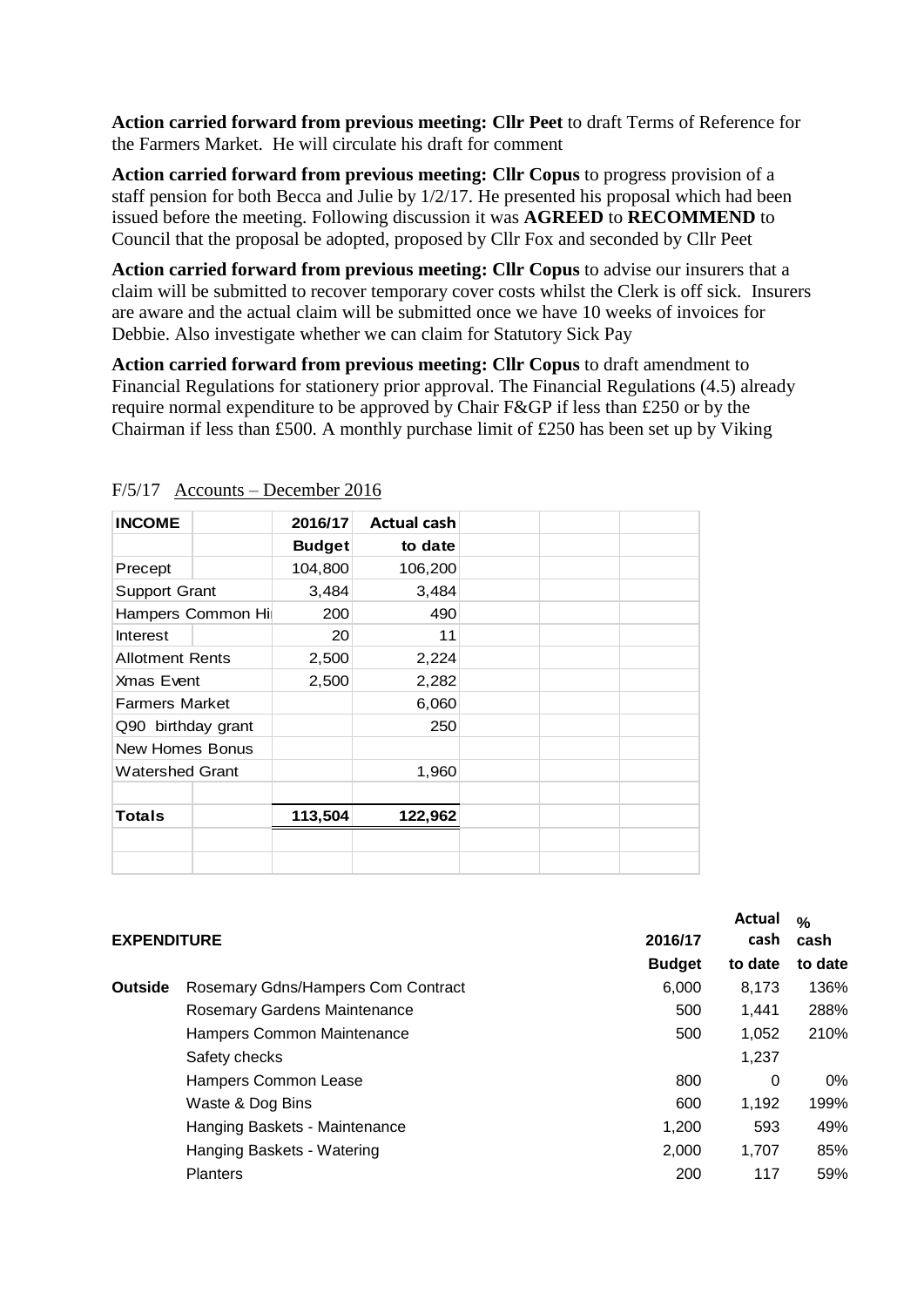**Action carried forward from previous meeting: Cllr Peet** to draft Terms of Reference for the Farmers Market. He will circulate his draft for comment

**Action carried forward from previous meeting: Cllr Copus** to progress provision of a staff pension for both Becca and Julie by 1/2/17. He presented his proposal which had been issued before the meeting. Following discussion it was **AGREED** to **RECOMMEND** to Council that the proposal be adopted, proposed by Cllr Fox and seconded by Cllr Peet

**Action carried forward from previous meeting: Cllr Copus** to advise our insurers that a claim will be submitted to recover temporary cover costs whilst the Clerk is off sick. Insurers are aware and the actual claim will be submitted once we have 10 weeks of invoices for Debbie. Also investigate whether we can claim for Statutory Sick Pay

**Action carried forward from previous meeting: Cllr Copus** to draft amendment to Financial Regulations for stationery prior approval. The Financial Regulations (4.5) already require normal expenditure to be approved by Chair F&GP if less than £250 or by the Chairman if less than £500. A monthly purchase limit of £250 has been set up by Viking

| <b>INCOME</b>          | 2016/17       | <b>Actual cash</b> |  |
|------------------------|---------------|--------------------|--|
|                        | <b>Budget</b> | to date            |  |
| Precept                | 104,800       | 106,200            |  |
| <b>Support Grant</b>   | 3,484         | 3,484              |  |
| Hampers Common Hi      | 200           | 490                |  |
| Interest               | 20            | 11                 |  |
| <b>Allotment Rents</b> | 2,500         | 2,224              |  |
| <b>Xmas Event</b>      | 2,500         | 2,282              |  |
| <b>Farmers Market</b>  |               | 6,060              |  |
| Q90 birthday grant     |               | 250                |  |
| New Homes Bonus        |               |                    |  |
| <b>Watershed Grant</b> |               | 1,960              |  |
|                        |               |                    |  |
| Totals                 | 113,504       | 122,962            |  |
|                        |               |                    |  |
|                        |               |                    |  |

| $F/5/17$ Accounts – December 2016 |  |
|-----------------------------------|--|
|                                   |  |

| <b>EXPENDITURE</b> |                                    | 2016/17       | Actual<br>cash | $\frac{0}{0}$<br>cash |
|--------------------|------------------------------------|---------------|----------------|-----------------------|
|                    |                                    | <b>Budget</b> | to date        | to date               |
| <b>Outside</b>     | Rosemary Gdns/Hampers Com Contract | 6,000         | 8.173          | 136%                  |
|                    | Rosemary Gardens Maintenance       | 500           | 1.441          | 288%                  |
|                    | Hampers Common Maintenance         | 500           | 1,052          | 210%                  |
|                    | Safety checks                      |               | 1,237          |                       |
|                    | Hampers Common Lease               | 800           | 0              | $0\%$                 |
|                    | Waste & Dog Bins                   | 600           | 1,192          | 199%                  |
|                    | Hanging Baskets - Maintenance      | 1.200         | 593            | 49%                   |
|                    | Hanging Baskets - Watering         | 2.000         | 1.707          | 85%                   |
|                    | <b>Planters</b>                    | 200           | 117            | 59%                   |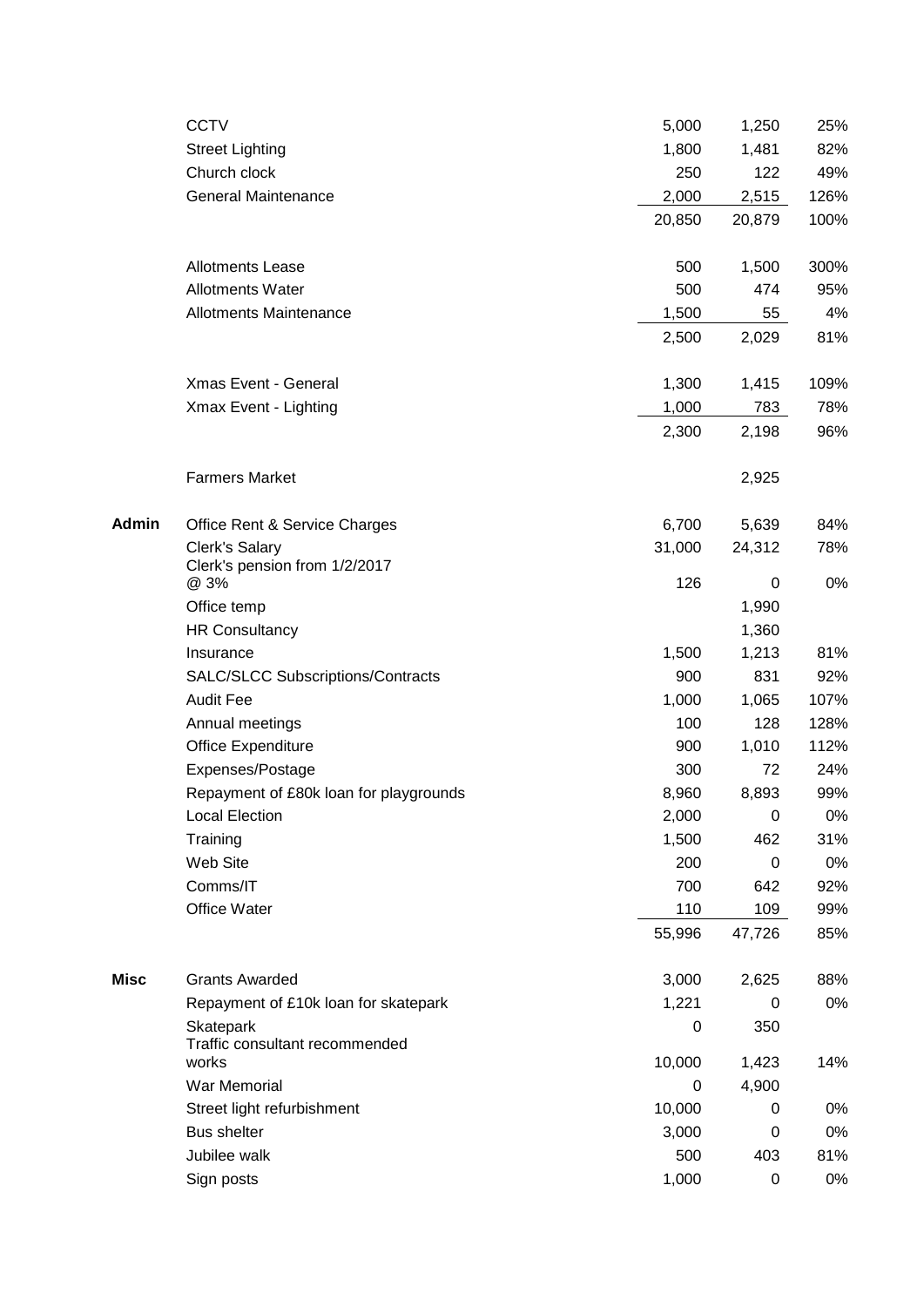|       | <b>CCTV</b>                                 | 5,000  | 1,250  | 25%  |
|-------|---------------------------------------------|--------|--------|------|
|       | <b>Street Lighting</b>                      | 1,800  | 1,481  | 82%  |
|       | Church clock                                | 250    | 122    | 49%  |
|       | <b>General Maintenance</b>                  | 2,000  | 2,515  | 126% |
|       |                                             | 20,850 | 20,879 | 100% |
|       | <b>Allotments Lease</b>                     | 500    | 1,500  | 300% |
|       | <b>Allotments Water</b>                     | 500    | 474    | 95%  |
|       | <b>Allotments Maintenance</b>               | 1,500  | 55     | 4%   |
|       |                                             | 2,500  | 2,029  | 81%  |
|       | Xmas Event - General                        | 1,300  | 1,415  | 109% |
|       | Xmax Event - Lighting                       | 1,000  | 783    | 78%  |
|       |                                             | 2,300  | 2,198  | 96%  |
|       | <b>Farmers Market</b>                       |        | 2,925  |      |
| Admin | Office Rent & Service Charges               | 6,700  | 5,639  | 84%  |
|       | Clerk's Salary                              | 31,000 | 24,312 | 78%  |
|       | Clerk's pension from 1/2/2017<br>@ 3%       | 126    | 0      | 0%   |
|       | Office temp                                 |        | 1,990  |      |
|       | <b>HR Consultancy</b>                       |        | 1,360  |      |
|       | Insurance                                   | 1,500  | 1,213  | 81%  |
|       | SALC/SLCC Subscriptions/Contracts           | 900    | 831    | 92%  |
|       | <b>Audit Fee</b>                            | 1,000  | 1,065  | 107% |
|       | Annual meetings                             | 100    | 128    | 128% |
|       | Office Expenditure                          | 900    | 1,010  | 112% |
|       | Expenses/Postage                            | 300    | 72     | 24%  |
|       | Repayment of £80k loan for playgrounds      | 8,960  | 8,893  | 99%  |
|       | <b>Local Election</b>                       | 2,000  | 0      | 0%   |
|       | Training                                    | 1,500  | 462    | 31%  |
|       | Web Site                                    | 200    | 0      | 0%   |
|       | Comms/IT                                    | 700    | 642    | 92%  |
|       | Office Water                                | 110    | 109    | 99%  |
|       |                                             | 55,996 | 47,726 | 85%  |
| Misc  | <b>Grants Awarded</b>                       | 3,000  | 2,625  | 88%  |
|       | Repayment of £10k loan for skatepark        | 1,221  | 0      | 0%   |
|       | Skatepark<br>Traffic consultant recommended | 0      | 350    |      |
|       | works                                       | 10,000 | 1,423  | 14%  |
|       | War Memorial                                | 0      | 4,900  |      |
|       | Street light refurbishment                  | 10,000 | 0      | 0%   |
|       | <b>Bus shelter</b>                          | 3,000  | 0      | 0%   |
|       | Jubilee walk                                | 500    | 403    | 81%  |
|       | Sign posts                                  | 1,000  | 0      | 0%   |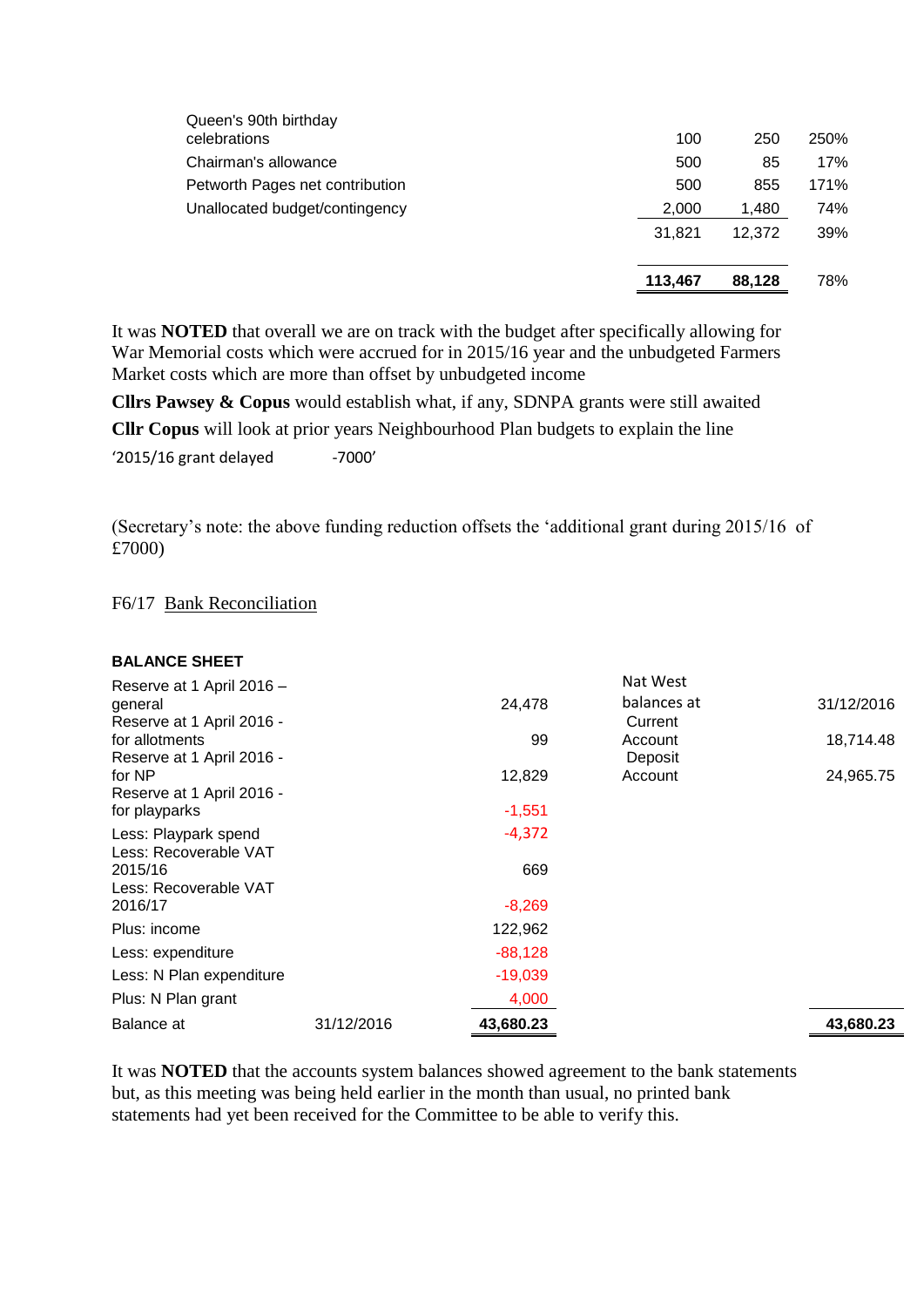|                                       | 113,467 | 88,128 | 78%  |
|---------------------------------------|---------|--------|------|
|                                       | 31.821  | 12.372 | 39%  |
| Unallocated budget/contingency        | 2,000   | 1,480  | 74%  |
| Petworth Pages net contribution       | 500     | 855    | 171% |
| Chairman's allowance                  | 500     | 85     | 17%  |
| Queen's 90th birthday<br>celebrations | 100     | 250    | 250% |

It was **NOTED** that overall we are on track with the budget after specifically allowing for War Memorial costs which were accrued for in 2015/16 year and the unbudgeted Farmers Market costs which are more than offset by unbudgeted income

**Cllrs Pawsey & Copus** would establish what, if any, SDNPA grants were still awaited **Cllr Copus** will look at prior years Neighbourhood Plan budgets to explain the line  $'2015/16$  grant delayed  $-7000'$ 

(Secretary's note: the above funding reduction offsets the 'additional grant during 2015/16 of £7000)

F6/17 Bank Reconciliation

| <b>BALANCE SHEET</b>      |            |           |             |            |
|---------------------------|------------|-----------|-------------|------------|
| Reserve at 1 April 2016 - |            |           | Nat West    |            |
| general                   |            | 24,478    | balances at | 31/12/2016 |
| Reserve at 1 April 2016 - |            |           | Current     |            |
| for allotments            |            | 99        | Account     | 18,714.48  |
| Reserve at 1 April 2016 - |            |           | Deposit     |            |
| for NP                    |            | 12,829    | Account     | 24,965.75  |
| Reserve at 1 April 2016 - |            |           |             |            |
| for playparks             |            | $-1,551$  |             |            |
| Less: Playpark spend      |            | $-4,372$  |             |            |
| Less: Recoverable VAT     |            |           |             |            |
| 2015/16                   |            | 669       |             |            |
| Less: Recoverable VAT     |            |           |             |            |
| 2016/17                   |            | $-8,269$  |             |            |
| Plus: income              |            | 122,962   |             |            |
| Less: expenditure         |            | $-88,128$ |             |            |
| Less: N Plan expenditure  |            | $-19,039$ |             |            |
| Plus: N Plan grant        |            | 4,000     |             |            |
| Balance at                | 31/12/2016 | 43,680.23 |             | 43,680.23  |

It was **NOTED** that the accounts system balances showed agreement to the bank statements but, as this meeting was being held earlier in the month than usual, no printed bank statements had yet been received for the Committee to be able to verify this.